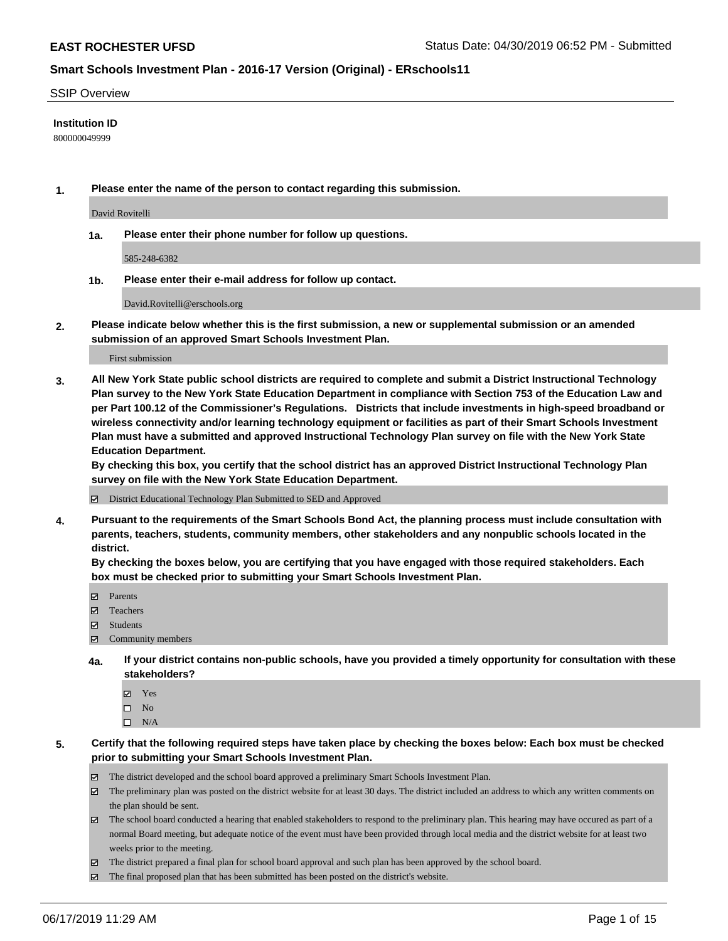#### SSIP Overview

#### **Institution ID**

800000049999

**1. Please enter the name of the person to contact regarding this submission.**

David Rovitelli

**1a. Please enter their phone number for follow up questions.**

585-248-6382

**1b. Please enter their e-mail address for follow up contact.**

David.Rovitelli@erschools.org

**2. Please indicate below whether this is the first submission, a new or supplemental submission or an amended submission of an approved Smart Schools Investment Plan.**

First submission

**3. All New York State public school districts are required to complete and submit a District Instructional Technology Plan survey to the New York State Education Department in compliance with Section 753 of the Education Law and per Part 100.12 of the Commissioner's Regulations. Districts that include investments in high-speed broadband or wireless connectivity and/or learning technology equipment or facilities as part of their Smart Schools Investment Plan must have a submitted and approved Instructional Technology Plan survey on file with the New York State Education Department.** 

**By checking this box, you certify that the school district has an approved District Instructional Technology Plan survey on file with the New York State Education Department.**

District Educational Technology Plan Submitted to SED and Approved

**4. Pursuant to the requirements of the Smart Schools Bond Act, the planning process must include consultation with parents, teachers, students, community members, other stakeholders and any nonpublic schools located in the district.** 

**By checking the boxes below, you are certifying that you have engaged with those required stakeholders. Each box must be checked prior to submitting your Smart Schools Investment Plan.**

- Parents
- Teachers
- Students
- Community members
- **4a. If your district contains non-public schools, have you provided a timely opportunity for consultation with these stakeholders?**
	- Yes
	- $\square$  No
	- $\square$  N/A
- **5. Certify that the following required steps have taken place by checking the boxes below: Each box must be checked prior to submitting your Smart Schools Investment Plan.**
	- The district developed and the school board approved a preliminary Smart Schools Investment Plan.
	- $\boxtimes$  The preliminary plan was posted on the district website for at least 30 days. The district included an address to which any written comments on the plan should be sent.
	- $\boxtimes$  The school board conducted a hearing that enabled stakeholders to respond to the preliminary plan. This hearing may have occured as part of a normal Board meeting, but adequate notice of the event must have been provided through local media and the district website for at least two weeks prior to the meeting.
	- The district prepared a final plan for school board approval and such plan has been approved by the school board.
	- $\boxtimes$  The final proposed plan that has been submitted has been posted on the district's website.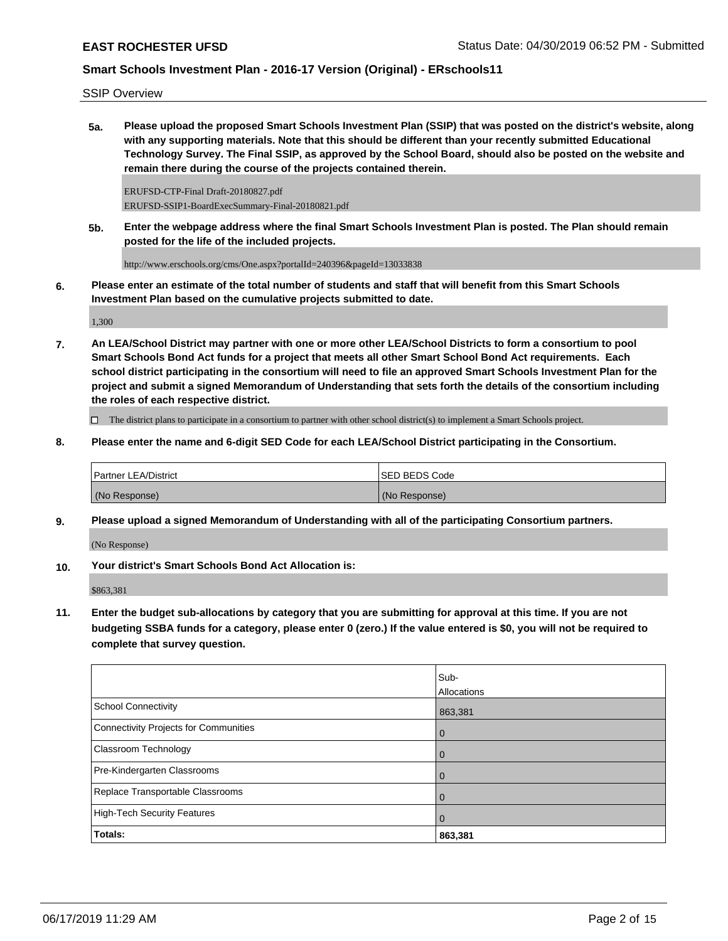SSIP Overview

**5a. Please upload the proposed Smart Schools Investment Plan (SSIP) that was posted on the district's website, along with any supporting materials. Note that this should be different than your recently submitted Educational Technology Survey. The Final SSIP, as approved by the School Board, should also be posted on the website and remain there during the course of the projects contained therein.**

ERUFSD-CTP-Final Draft-20180827.pdf ERUFSD-SSIP1-BoardExecSummary-Final-20180821.pdf

**5b. Enter the webpage address where the final Smart Schools Investment Plan is posted. The Plan should remain posted for the life of the included projects.**

http://www.erschools.org/cms/One.aspx?portalId=240396&pageId=13033838

**6. Please enter an estimate of the total number of students and staff that will benefit from this Smart Schools Investment Plan based on the cumulative projects submitted to date.**

1,300

**7. An LEA/School District may partner with one or more other LEA/School Districts to form a consortium to pool Smart Schools Bond Act funds for a project that meets all other Smart School Bond Act requirements. Each school district participating in the consortium will need to file an approved Smart Schools Investment Plan for the project and submit a signed Memorandum of Understanding that sets forth the details of the consortium including the roles of each respective district.**

 $\Box$  The district plans to participate in a consortium to partner with other school district(s) to implement a Smart Schools project.

**8. Please enter the name and 6-digit SED Code for each LEA/School District participating in the Consortium.**

| <b>Partner LEA/District</b> | ISED BEDS Code |
|-----------------------------|----------------|
| (No Response)               | (No Response)  |

**9. Please upload a signed Memorandum of Understanding with all of the participating Consortium partners.**

(No Response)

**10. Your district's Smart Schools Bond Act Allocation is:**

\$863,381

**11. Enter the budget sub-allocations by category that you are submitting for approval at this time. If you are not budgeting SSBA funds for a category, please enter 0 (zero.) If the value entered is \$0, you will not be required to complete that survey question.**

|                                              | Sub-<br>Allocations |
|----------------------------------------------|---------------------|
| <b>School Connectivity</b>                   | 863,381             |
| <b>Connectivity Projects for Communities</b> | $\overline{0}$      |
| Classroom Technology                         | $\overline{0}$      |
| Pre-Kindergarten Classrooms                  | $\overline{0}$      |
| Replace Transportable Classrooms             | $\overline{0}$      |
| <b>High-Tech Security Features</b>           | $\overline{0}$      |
| Totals:                                      | 863,381             |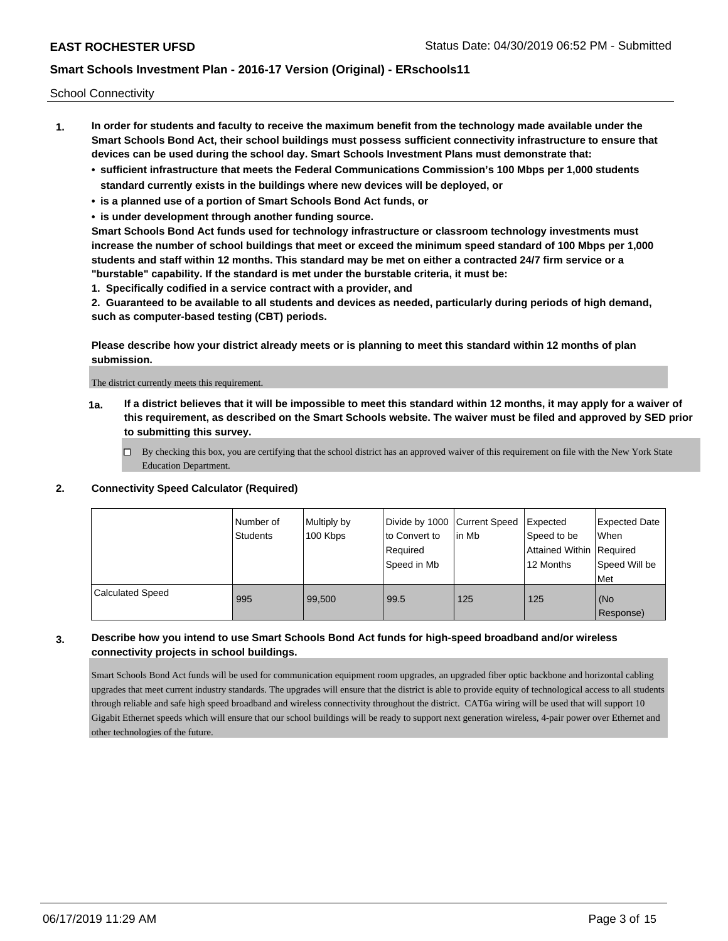School Connectivity

- **1. In order for students and faculty to receive the maximum benefit from the technology made available under the Smart Schools Bond Act, their school buildings must possess sufficient connectivity infrastructure to ensure that devices can be used during the school day. Smart Schools Investment Plans must demonstrate that:**
	- **• sufficient infrastructure that meets the Federal Communications Commission's 100 Mbps per 1,000 students standard currently exists in the buildings where new devices will be deployed, or**
	- **• is a planned use of a portion of Smart Schools Bond Act funds, or**
	- **• is under development through another funding source.**

**Smart Schools Bond Act funds used for technology infrastructure or classroom technology investments must increase the number of school buildings that meet or exceed the minimum speed standard of 100 Mbps per 1,000 students and staff within 12 months. This standard may be met on either a contracted 24/7 firm service or a "burstable" capability. If the standard is met under the burstable criteria, it must be:**

**1. Specifically codified in a service contract with a provider, and**

**2. Guaranteed to be available to all students and devices as needed, particularly during periods of high demand, such as computer-based testing (CBT) periods.**

**Please describe how your district already meets or is planning to meet this standard within 12 months of plan submission.**

The district currently meets this requirement.

**1a. If a district believes that it will be impossible to meet this standard within 12 months, it may apply for a waiver of this requirement, as described on the Smart Schools website. The waiver must be filed and approved by SED prior to submitting this survey.**

 $\Box$  By checking this box, you are certifying that the school district has an approved waiver of this requirement on file with the New York State Education Department.

#### **2. Connectivity Speed Calculator (Required)**

|                         | Number of<br><b>Students</b> | Multiply by<br>100 Kbps | Divide by 1000 Current Speed<br>to Convert to<br>Required<br>Speed in Mb | l in Mb | Expected<br>Speed to be<br>Attained Within   Required<br>12 Months | Expected Date<br>When<br>Speed Will be<br><b>Met</b> |
|-------------------------|------------------------------|-------------------------|--------------------------------------------------------------------------|---------|--------------------------------------------------------------------|------------------------------------------------------|
| <b>Calculated Speed</b> | 995                          | 99.500                  | 99.5                                                                     | 125     | 125                                                                | (No<br>Response)                                     |

### **3. Describe how you intend to use Smart Schools Bond Act funds for high-speed broadband and/or wireless connectivity projects in school buildings.**

Smart Schools Bond Act funds will be used for communication equipment room upgrades, an upgraded fiber optic backbone and horizontal cabling upgrades that meet current industry standards. The upgrades will ensure that the district is able to provide equity of technological access to all students through reliable and safe high speed broadband and wireless connectivity throughout the district. CAT6a wiring will be used that will support 10 Gigabit Ethernet speeds which will ensure that our school buildings will be ready to support next generation wireless, 4-pair power over Ethernet and other technologies of the future.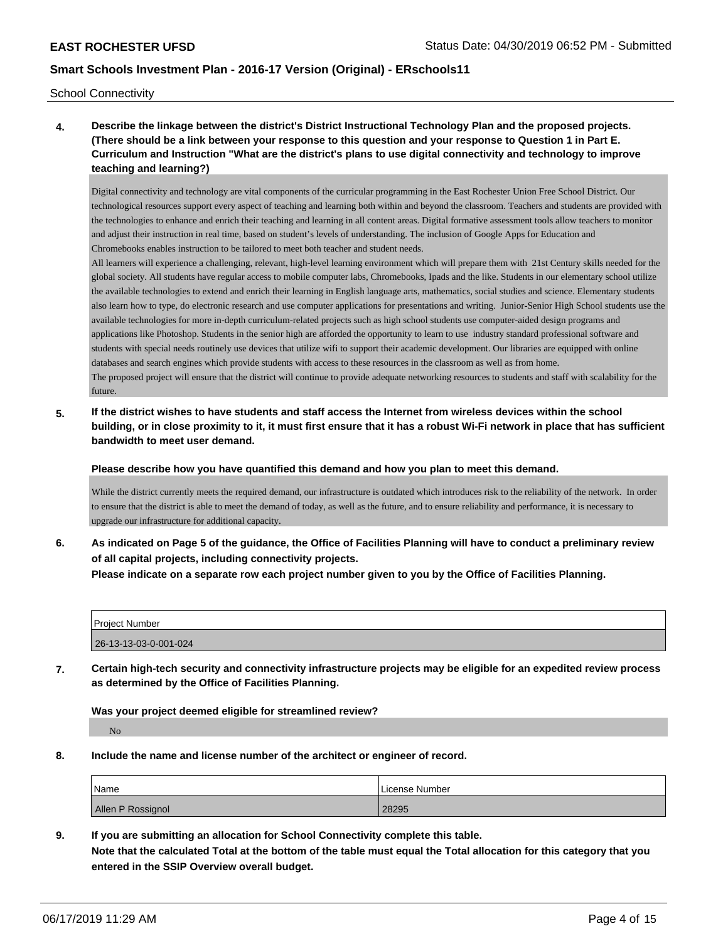School Connectivity

future.

**4. Describe the linkage between the district's District Instructional Technology Plan and the proposed projects. (There should be a link between your response to this question and your response to Question 1 in Part E. Curriculum and Instruction "What are the district's plans to use digital connectivity and technology to improve teaching and learning?)**

Digital connectivity and technology are vital components of the curricular programming in the East Rochester Union Free School District. Our technological resources support every aspect of teaching and learning both within and beyond the classroom. Teachers and students are provided with the technologies to enhance and enrich their teaching and learning in all content areas. Digital formative assessment tools allow teachers to monitor and adjust their instruction in real time, based on student's levels of understanding. The inclusion of Google Apps for Education and Chromebooks enables instruction to be tailored to meet both teacher and student needs.

All learners will experience a challenging, relevant, high-level learning environment which will prepare them with 21st Century skills needed for the global society. All students have regular access to mobile computer labs, Chromebooks, Ipads and the like. Students in our elementary school utilize the available technologies to extend and enrich their learning in English language arts, mathematics, social studies and science. Elementary students also learn how to type, do electronic research and use computer applications for presentations and writing. Junior-Senior High School students use the available technologies for more in-depth curriculum-related projects such as high school students use computer-aided design programs and applications like Photoshop. Students in the senior high are afforded the opportunity to learn to use industry standard professional software and students with special needs routinely use devices that utilize wifi to support their academic development. Our libraries are equipped with online databases and search engines which provide students with access to these resources in the classroom as well as from home. The proposed project will ensure that the district will continue to provide adequate networking resources to students and staff with scalability for the

**5. If the district wishes to have students and staff access the Internet from wireless devices within the school building, or in close proximity to it, it must first ensure that it has a robust Wi-Fi network in place that has sufficient bandwidth to meet user demand.**

**Please describe how you have quantified this demand and how you plan to meet this demand.**

While the district currently meets the required demand, our infrastructure is outdated which introduces risk to the reliability of the network. In order to ensure that the district is able to meet the demand of today, as well as the future, and to ensure reliability and performance, it is necessary to upgrade our infrastructure for additional capacity.

**6. As indicated on Page 5 of the guidance, the Office of Facilities Planning will have to conduct a preliminary review of all capital projects, including connectivity projects.**

**Please indicate on a separate row each project number given to you by the Office of Facilities Planning.**

| <b>Project Number</b> |  |
|-----------------------|--|
| 26-13-13-03-0-001-024 |  |

**7. Certain high-tech security and connectivity infrastructure projects may be eligible for an expedited review process as determined by the Office of Facilities Planning.**

**Was your project deemed eligible for streamlined review?**

No

**8. Include the name and license number of the architect or engineer of record.**

| Name              | License Number |
|-------------------|----------------|
| Allen P Rossignol | 28295          |

**9. If you are submitting an allocation for School Connectivity complete this table. Note that the calculated Total at the bottom of the table must equal the Total allocation for this category that you entered in the SSIP Overview overall budget.**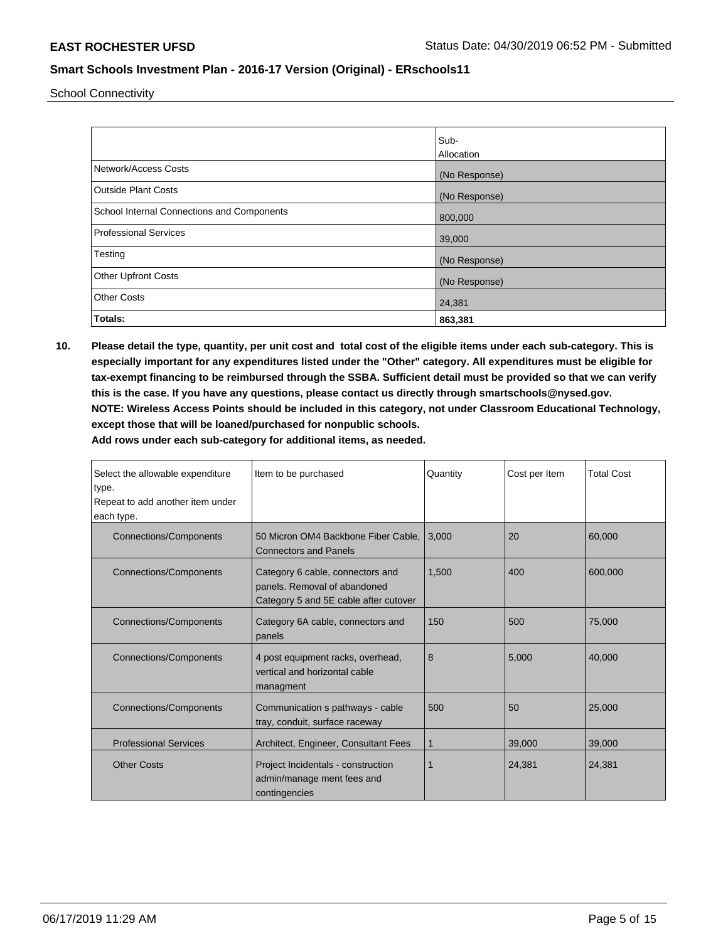School Connectivity

|                                            | Sub-          |
|--------------------------------------------|---------------|
|                                            | Allocation    |
| Network/Access Costs                       | (No Response) |
| <b>Outside Plant Costs</b>                 | (No Response) |
| School Internal Connections and Components | 800,000       |
| Professional Services                      | 39,000        |
| Testing                                    | (No Response) |
| <b>Other Upfront Costs</b>                 | (No Response) |
| <b>Other Costs</b>                         | 24,381        |
| Totals:                                    | 863,381       |

**10. Please detail the type, quantity, per unit cost and total cost of the eligible items under each sub-category. This is especially important for any expenditures listed under the "Other" category. All expenditures must be eligible for tax-exempt financing to be reimbursed through the SSBA. Sufficient detail must be provided so that we can verify this is the case. If you have any questions, please contact us directly through smartschools@nysed.gov. NOTE: Wireless Access Points should be included in this category, not under Classroom Educational Technology, except those that will be loaned/purchased for nonpublic schools.**

| Select the allowable expenditure<br>type.<br>Repeat to add another item under<br>each type. | Item to be purchased                                                                                      | Quantity | Cost per Item | <b>Total Cost</b> |
|---------------------------------------------------------------------------------------------|-----------------------------------------------------------------------------------------------------------|----------|---------------|-------------------|
| <b>Connections/Components</b>                                                               | 50 Micron OM4 Backbone Fiber Cable.<br><b>Connectors and Panels</b>                                       | 3.000    | 20            | 60,000            |
| <b>Connections/Components</b>                                                               | Category 6 cable, connectors and<br>panels. Removal of abandoned<br>Category 5 and 5E cable after cutover | 1,500    | 400           | 600,000           |
| <b>Connections/Components</b>                                                               | Category 6A cable, connectors and<br>panels                                                               | 150      | 500           | 75.000            |
| <b>Connections/Components</b>                                                               | 4 post equipment racks, overhead,<br>vertical and horizontal cable<br>managment                           | 8        | 5.000         | 40,000            |
| <b>Connections/Components</b>                                                               | Communication s pathways - cable<br>tray, conduit, surface raceway                                        | 500      | 50            | 25,000            |
| <b>Professional Services</b>                                                                | Architect, Engineer, Consultant Fees                                                                      | 1        | 39,000        | 39,000            |
| <b>Other Costs</b>                                                                          | Project Incidentals - construction<br>admin/manage ment fees and<br>contingencies                         |          | 24,381        | 24,381            |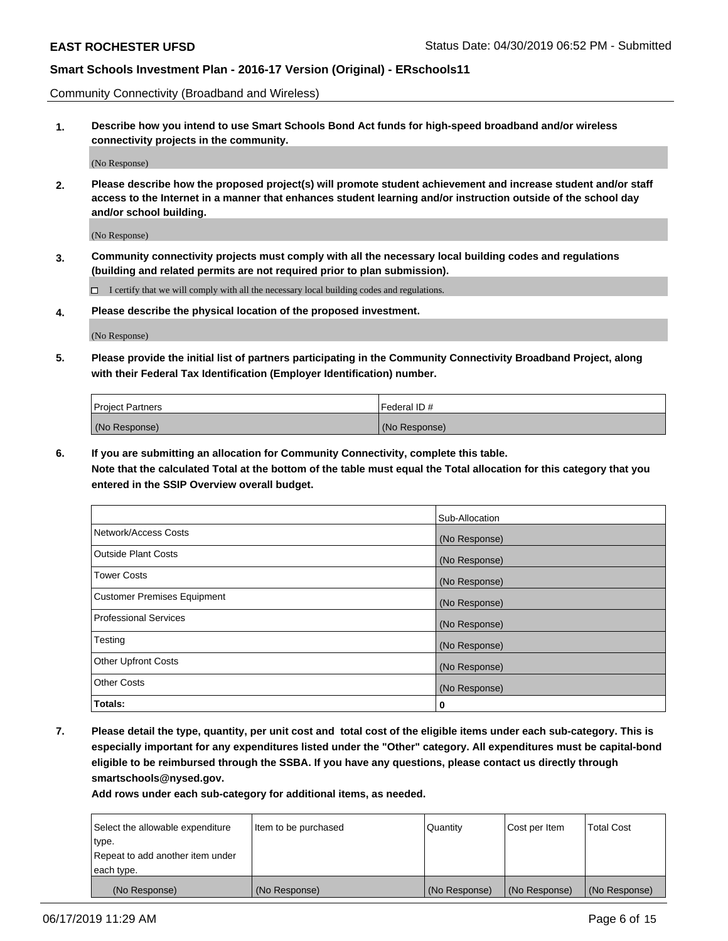Community Connectivity (Broadband and Wireless)

**1. Describe how you intend to use Smart Schools Bond Act funds for high-speed broadband and/or wireless connectivity projects in the community.**

(No Response)

**2. Please describe how the proposed project(s) will promote student achievement and increase student and/or staff access to the Internet in a manner that enhances student learning and/or instruction outside of the school day and/or school building.**

(No Response)

**3. Community connectivity projects must comply with all the necessary local building codes and regulations (building and related permits are not required prior to plan submission).**

 $\Box$  I certify that we will comply with all the necessary local building codes and regulations.

**4. Please describe the physical location of the proposed investment.**

(No Response)

**5. Please provide the initial list of partners participating in the Community Connectivity Broadband Project, along with their Federal Tax Identification (Employer Identification) number.**

| <b>Project Partners</b> | l Federal ID # |
|-------------------------|----------------|
| (No Response)           | (No Response)  |

**6. If you are submitting an allocation for Community Connectivity, complete this table.**

**Note that the calculated Total at the bottom of the table must equal the Total allocation for this category that you entered in the SSIP Overview overall budget.**

|                                    | Sub-Allocation |
|------------------------------------|----------------|
| Network/Access Costs               | (No Response)  |
| <b>Outside Plant Costs</b>         | (No Response)  |
| <b>Tower Costs</b>                 | (No Response)  |
| <b>Customer Premises Equipment</b> | (No Response)  |
| <b>Professional Services</b>       | (No Response)  |
| Testing                            | (No Response)  |
| <b>Other Upfront Costs</b>         | (No Response)  |
| <b>Other Costs</b>                 | (No Response)  |
| Totals:                            | 0              |

**7. Please detail the type, quantity, per unit cost and total cost of the eligible items under each sub-category. This is especially important for any expenditures listed under the "Other" category. All expenditures must be capital-bond eligible to be reimbursed through the SSBA. If you have any questions, please contact us directly through smartschools@nysed.gov.**

| Select the allowable expenditure<br>type.      | Item to be purchased | Quantity      | Cost per Item | <b>Total Cost</b> |
|------------------------------------------------|----------------------|---------------|---------------|-------------------|
| Repeat to add another item under<br>each type. |                      |               |               |                   |
| (No Response)                                  | (No Response)        | (No Response) | (No Response) | (No Response)     |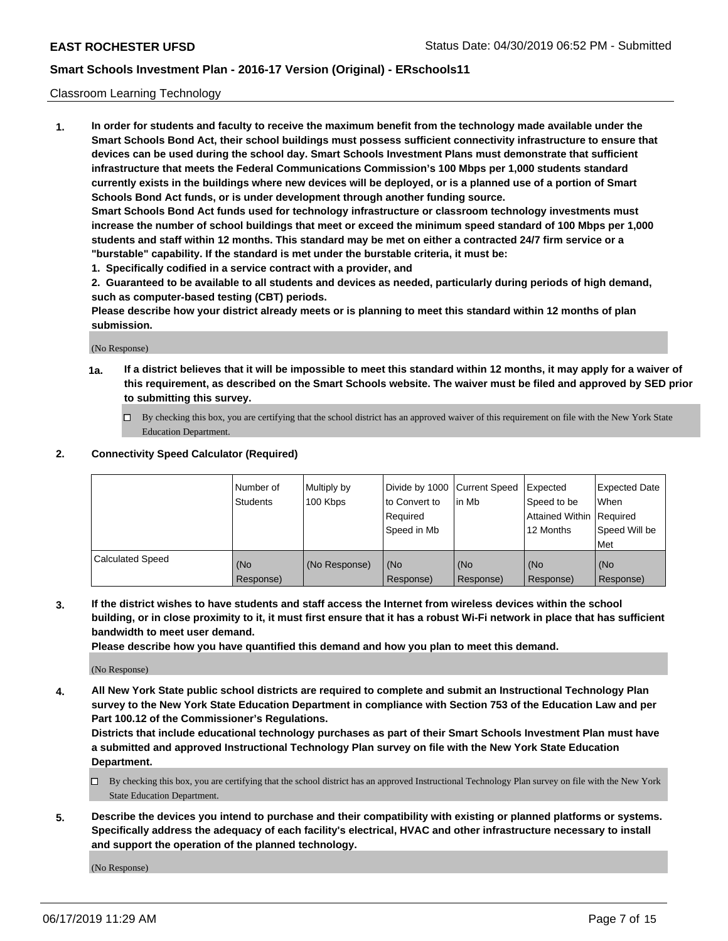#### Classroom Learning Technology

**1. In order for students and faculty to receive the maximum benefit from the technology made available under the Smart Schools Bond Act, their school buildings must possess sufficient connectivity infrastructure to ensure that devices can be used during the school day. Smart Schools Investment Plans must demonstrate that sufficient infrastructure that meets the Federal Communications Commission's 100 Mbps per 1,000 students standard currently exists in the buildings where new devices will be deployed, or is a planned use of a portion of Smart Schools Bond Act funds, or is under development through another funding source. Smart Schools Bond Act funds used for technology infrastructure or classroom technology investments must increase the number of school buildings that meet or exceed the minimum speed standard of 100 Mbps per 1,000**

**students and staff within 12 months. This standard may be met on either a contracted 24/7 firm service or a "burstable" capability. If the standard is met under the burstable criteria, it must be:**

**1. Specifically codified in a service contract with a provider, and**

**2. Guaranteed to be available to all students and devices as needed, particularly during periods of high demand, such as computer-based testing (CBT) periods.**

**Please describe how your district already meets or is planning to meet this standard within 12 months of plan submission.**

(No Response)

- **1a. If a district believes that it will be impossible to meet this standard within 12 months, it may apply for a waiver of this requirement, as described on the Smart Schools website. The waiver must be filed and approved by SED prior to submitting this survey.**
	- By checking this box, you are certifying that the school district has an approved waiver of this requirement on file with the New York State Education Department.

#### **2. Connectivity Speed Calculator (Required)**

|                         | I Number of<br>Students | Multiply by<br>100 Kbps | to Convert to<br>Required<br>Speed in Mb | Divide by 1000 Current Speed Expected<br>lin Mb | Speed to be<br>Attained Within Required<br>12 Months | Expected Date<br>When<br>Speed Will be<br>Met |
|-------------------------|-------------------------|-------------------------|------------------------------------------|-------------------------------------------------|------------------------------------------------------|-----------------------------------------------|
| <b>Calculated Speed</b> | (No<br>Response)        | (No Response)           | (No<br>Response)                         | (No<br>Response)                                | (No<br>Response)                                     | (No<br>Response)                              |

**3. If the district wishes to have students and staff access the Internet from wireless devices within the school building, or in close proximity to it, it must first ensure that it has a robust Wi-Fi network in place that has sufficient bandwidth to meet user demand.**

**Please describe how you have quantified this demand and how you plan to meet this demand.**

(No Response)

**4. All New York State public school districts are required to complete and submit an Instructional Technology Plan survey to the New York State Education Department in compliance with Section 753 of the Education Law and per Part 100.12 of the Commissioner's Regulations.**

**Districts that include educational technology purchases as part of their Smart Schools Investment Plan must have a submitted and approved Instructional Technology Plan survey on file with the New York State Education Department.**

- $\Box$  By checking this box, you are certifying that the school district has an approved Instructional Technology Plan survey on file with the New York State Education Department.
- **5. Describe the devices you intend to purchase and their compatibility with existing or planned platforms or systems. Specifically address the adequacy of each facility's electrical, HVAC and other infrastructure necessary to install and support the operation of the planned technology.**

(No Response)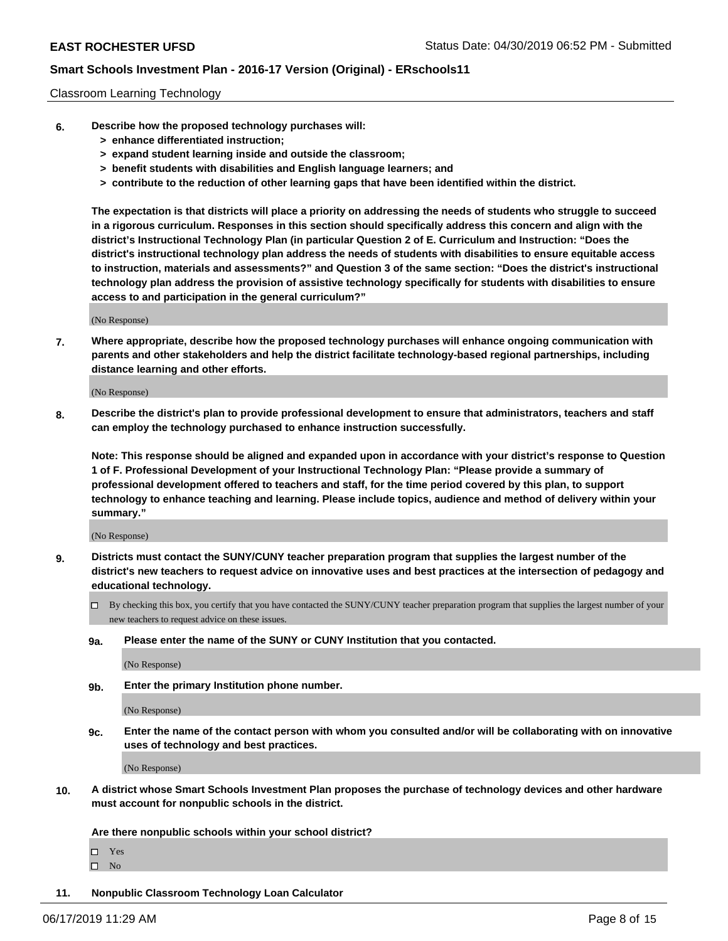#### Classroom Learning Technology

- **6. Describe how the proposed technology purchases will:**
	- **> enhance differentiated instruction;**
	- **> expand student learning inside and outside the classroom;**
	- **> benefit students with disabilities and English language learners; and**
	- **> contribute to the reduction of other learning gaps that have been identified within the district.**

**The expectation is that districts will place a priority on addressing the needs of students who struggle to succeed in a rigorous curriculum. Responses in this section should specifically address this concern and align with the district's Instructional Technology Plan (in particular Question 2 of E. Curriculum and Instruction: "Does the district's instructional technology plan address the needs of students with disabilities to ensure equitable access to instruction, materials and assessments?" and Question 3 of the same section: "Does the district's instructional technology plan address the provision of assistive technology specifically for students with disabilities to ensure access to and participation in the general curriculum?"**

(No Response)

**7. Where appropriate, describe how the proposed technology purchases will enhance ongoing communication with parents and other stakeholders and help the district facilitate technology-based regional partnerships, including distance learning and other efforts.**

(No Response)

**8. Describe the district's plan to provide professional development to ensure that administrators, teachers and staff can employ the technology purchased to enhance instruction successfully.**

**Note: This response should be aligned and expanded upon in accordance with your district's response to Question 1 of F. Professional Development of your Instructional Technology Plan: "Please provide a summary of professional development offered to teachers and staff, for the time period covered by this plan, to support technology to enhance teaching and learning. Please include topics, audience and method of delivery within your summary."**

(No Response)

- **9. Districts must contact the SUNY/CUNY teacher preparation program that supplies the largest number of the district's new teachers to request advice on innovative uses and best practices at the intersection of pedagogy and educational technology.**
	- By checking this box, you certify that you have contacted the SUNY/CUNY teacher preparation program that supplies the largest number of your new teachers to request advice on these issues.
	- **9a. Please enter the name of the SUNY or CUNY Institution that you contacted.**

(No Response)

**9b. Enter the primary Institution phone number.**

(No Response)

**9c. Enter the name of the contact person with whom you consulted and/or will be collaborating with on innovative uses of technology and best practices.**

(No Response)

**10. A district whose Smart Schools Investment Plan proposes the purchase of technology devices and other hardware must account for nonpublic schools in the district.**

**Are there nonpublic schools within your school district?**

Yes

 $\square$  No

**11. Nonpublic Classroom Technology Loan Calculator**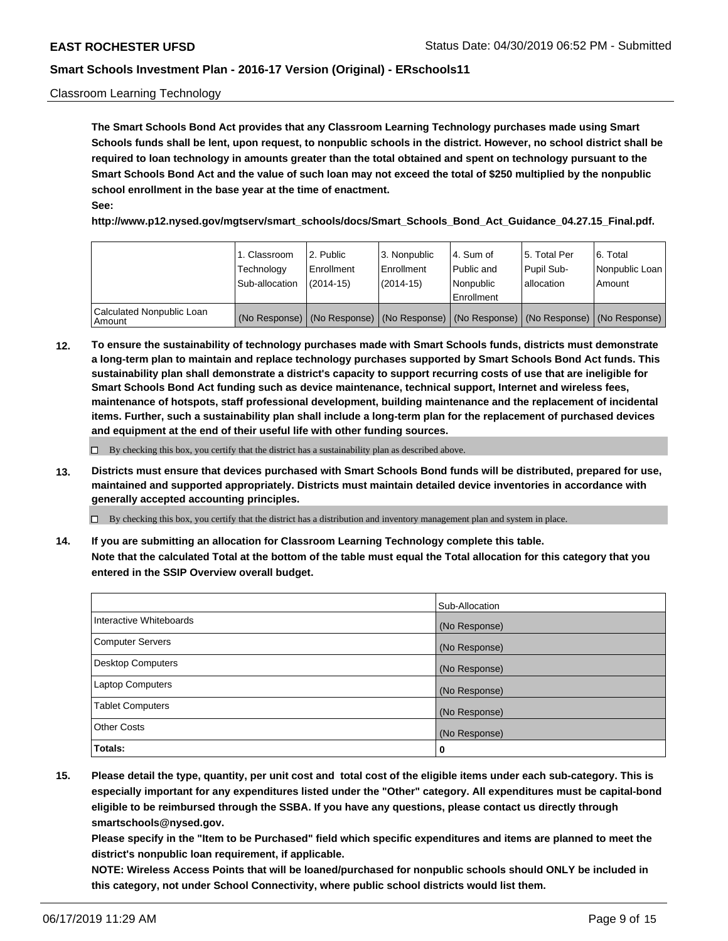#### Classroom Learning Technology

**The Smart Schools Bond Act provides that any Classroom Learning Technology purchases made using Smart Schools funds shall be lent, upon request, to nonpublic schools in the district. However, no school district shall be required to loan technology in amounts greater than the total obtained and spent on technology pursuant to the Smart Schools Bond Act and the value of such loan may not exceed the total of \$250 multiplied by the nonpublic school enrollment in the base year at the time of enactment. See:**

**http://www.p12.nysed.gov/mgtserv/smart\_schools/docs/Smart\_Schools\_Bond\_Act\_Guidance\_04.27.15\_Final.pdf.**

|                                       | 1. Classroom<br>Technology<br>Sub-allocation | 2. Public<br>l Enrollment<br>$(2014 - 15)$ | l 3. Nonpublic<br>l Enrollment<br>$(2014 - 15)$ | l 4. Sum of<br>Public and<br>l Nonpublic<br>Enrollment                                        | 15. Total Per<br>Pupil Sub-<br>l allocation | l 6. Total<br>Nonpublic Loan<br>Amount |
|---------------------------------------|----------------------------------------------|--------------------------------------------|-------------------------------------------------|-----------------------------------------------------------------------------------------------|---------------------------------------------|----------------------------------------|
| Calculated Nonpublic Loan<br>l Amount |                                              |                                            |                                                 | (No Response)   (No Response)   (No Response)   (No Response)   (No Response)   (No Response) |                                             |                                        |

**12. To ensure the sustainability of technology purchases made with Smart Schools funds, districts must demonstrate a long-term plan to maintain and replace technology purchases supported by Smart Schools Bond Act funds. This sustainability plan shall demonstrate a district's capacity to support recurring costs of use that are ineligible for Smart Schools Bond Act funding such as device maintenance, technical support, Internet and wireless fees, maintenance of hotspots, staff professional development, building maintenance and the replacement of incidental items. Further, such a sustainability plan shall include a long-term plan for the replacement of purchased devices and equipment at the end of their useful life with other funding sources.**

 $\Box$  By checking this box, you certify that the district has a sustainability plan as described above.

**13. Districts must ensure that devices purchased with Smart Schools Bond funds will be distributed, prepared for use, maintained and supported appropriately. Districts must maintain detailed device inventories in accordance with generally accepted accounting principles.**

By checking this box, you certify that the district has a distribution and inventory management plan and system in place.

**14. If you are submitting an allocation for Classroom Learning Technology complete this table. Note that the calculated Total at the bottom of the table must equal the Total allocation for this category that you entered in the SSIP Overview overall budget.**

|                          | Sub-Allocation |
|--------------------------|----------------|
| Interactive Whiteboards  | (No Response)  |
| <b>Computer Servers</b>  | (No Response)  |
| <b>Desktop Computers</b> | (No Response)  |
| <b>Laptop Computers</b>  | (No Response)  |
| <b>Tablet Computers</b>  | (No Response)  |
| <b>Other Costs</b>       | (No Response)  |
| Totals:                  | 0              |

**15. Please detail the type, quantity, per unit cost and total cost of the eligible items under each sub-category. This is especially important for any expenditures listed under the "Other" category. All expenditures must be capital-bond eligible to be reimbursed through the SSBA. If you have any questions, please contact us directly through smartschools@nysed.gov.**

**Please specify in the "Item to be Purchased" field which specific expenditures and items are planned to meet the district's nonpublic loan requirement, if applicable.**

**NOTE: Wireless Access Points that will be loaned/purchased for nonpublic schools should ONLY be included in this category, not under School Connectivity, where public school districts would list them.**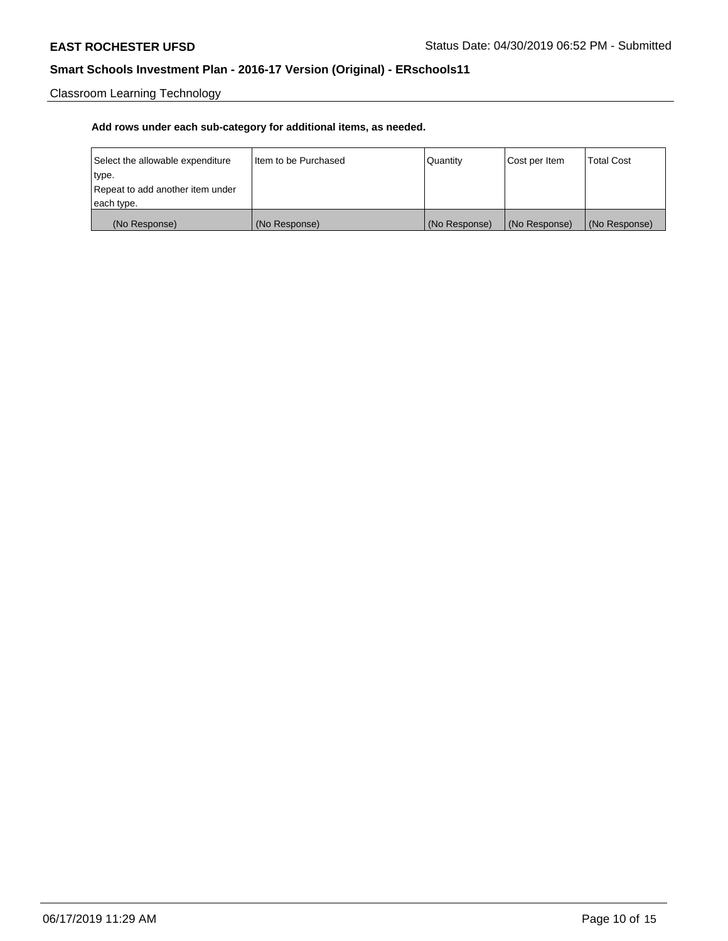Classroom Learning Technology

| Select the allowable expenditure | Iltem to be Purchased | Quantity      | Cost per Item | <b>Total Cost</b> |
|----------------------------------|-----------------------|---------------|---------------|-------------------|
| type.                            |                       |               |               |                   |
| Repeat to add another item under |                       |               |               |                   |
| each type.                       |                       |               |               |                   |
| (No Response)                    | (No Response)         | (No Response) | (No Response) | (No Response)     |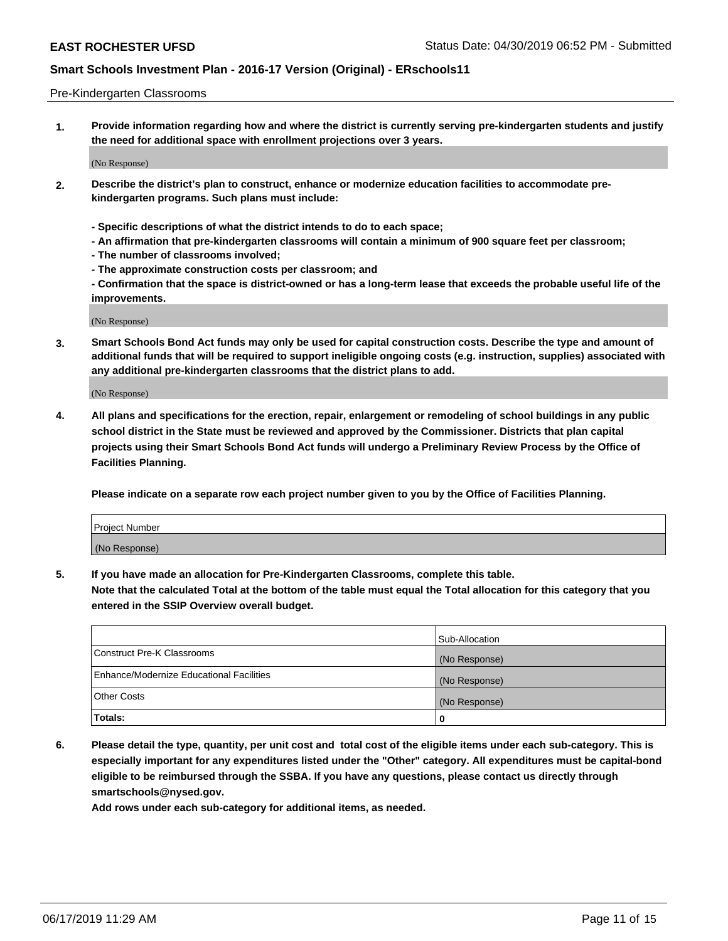#### Pre-Kindergarten Classrooms

**1. Provide information regarding how and where the district is currently serving pre-kindergarten students and justify the need for additional space with enrollment projections over 3 years.**

(No Response)

- **2. Describe the district's plan to construct, enhance or modernize education facilities to accommodate prekindergarten programs. Such plans must include:**
	- **Specific descriptions of what the district intends to do to each space;**
	- **An affirmation that pre-kindergarten classrooms will contain a minimum of 900 square feet per classroom;**
	- **The number of classrooms involved;**
	- **The approximate construction costs per classroom; and**
	- **Confirmation that the space is district-owned or has a long-term lease that exceeds the probable useful life of the improvements.**

(No Response)

**3. Smart Schools Bond Act funds may only be used for capital construction costs. Describe the type and amount of additional funds that will be required to support ineligible ongoing costs (e.g. instruction, supplies) associated with any additional pre-kindergarten classrooms that the district plans to add.**

(No Response)

**4. All plans and specifications for the erection, repair, enlargement or remodeling of school buildings in any public school district in the State must be reviewed and approved by the Commissioner. Districts that plan capital projects using their Smart Schools Bond Act funds will undergo a Preliminary Review Process by the Office of Facilities Planning.**

**Please indicate on a separate row each project number given to you by the Office of Facilities Planning.**

| Project Number |  |
|----------------|--|
| (No Response)  |  |
|                |  |

**5. If you have made an allocation for Pre-Kindergarten Classrooms, complete this table.**

**Note that the calculated Total at the bottom of the table must equal the Total allocation for this category that you entered in the SSIP Overview overall budget.**

|                                          | Sub-Allocation |
|------------------------------------------|----------------|
| Construct Pre-K Classrooms               | (No Response)  |
| Enhance/Modernize Educational Facilities | (No Response)  |
| <b>Other Costs</b>                       | (No Response)  |
| Totals:                                  | 0              |

**6. Please detail the type, quantity, per unit cost and total cost of the eligible items under each sub-category. This is especially important for any expenditures listed under the "Other" category. All expenditures must be capital-bond eligible to be reimbursed through the SSBA. If you have any questions, please contact us directly through smartschools@nysed.gov.**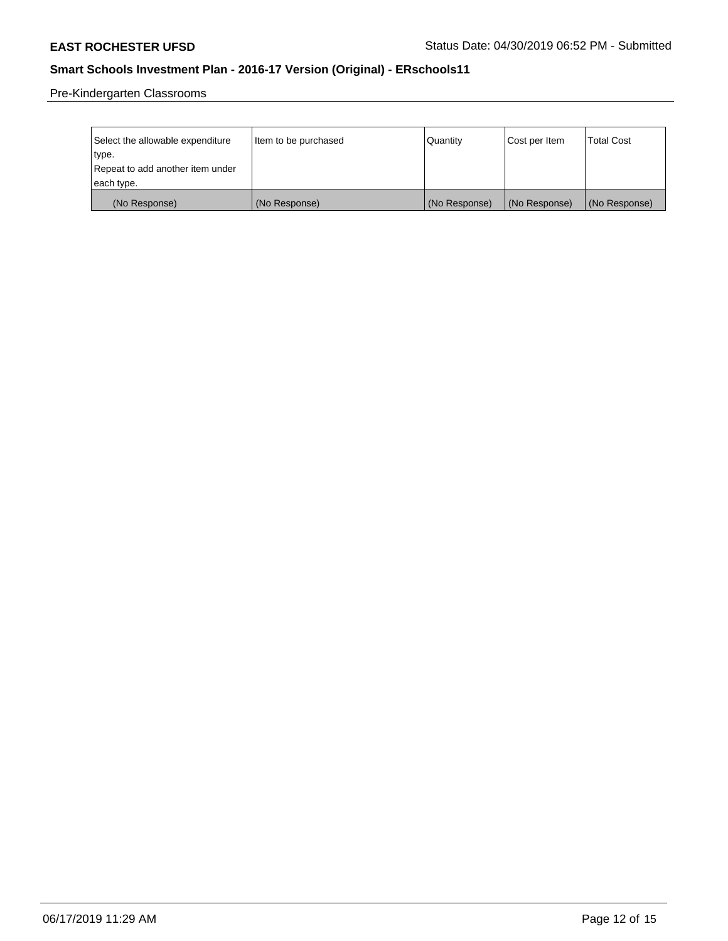Pre-Kindergarten Classrooms

| Select the allowable expenditure | Item to be purchased | Quantity      | Cost per Item | <b>Total Cost</b> |
|----------------------------------|----------------------|---------------|---------------|-------------------|
| type.                            |                      |               |               |                   |
| Repeat to add another item under |                      |               |               |                   |
| each type.                       |                      |               |               |                   |
| (No Response)                    | (No Response)        | (No Response) | (No Response) | (No Response)     |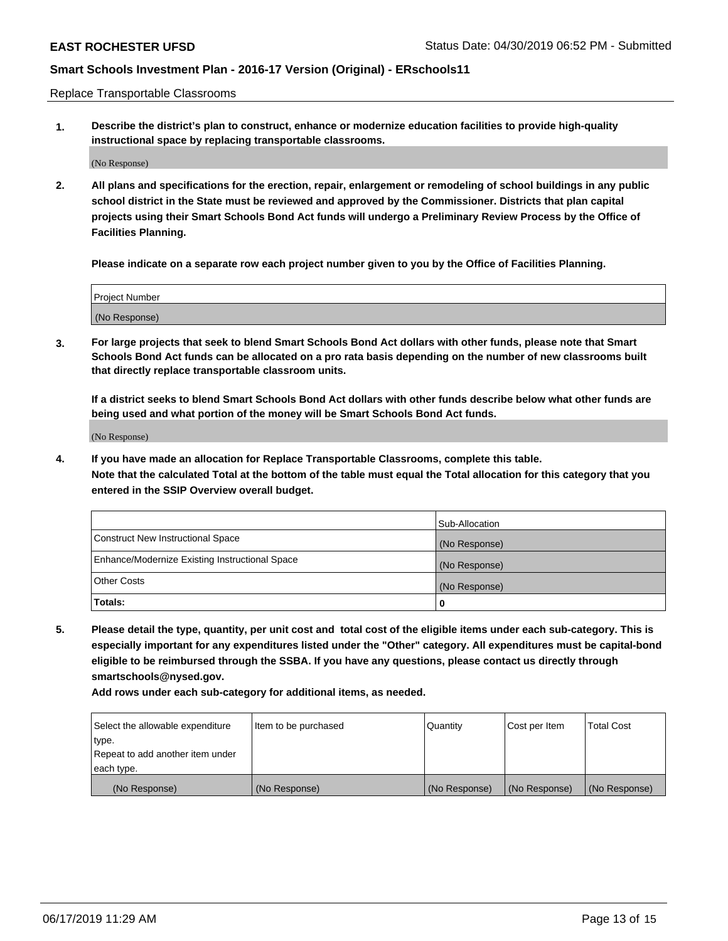Replace Transportable Classrooms

**1. Describe the district's plan to construct, enhance or modernize education facilities to provide high-quality instructional space by replacing transportable classrooms.**

(No Response)

**2. All plans and specifications for the erection, repair, enlargement or remodeling of school buildings in any public school district in the State must be reviewed and approved by the Commissioner. Districts that plan capital projects using their Smart Schools Bond Act funds will undergo a Preliminary Review Process by the Office of Facilities Planning.**

**Please indicate on a separate row each project number given to you by the Office of Facilities Planning.**

| Project Number |  |
|----------------|--|
|                |  |
| (No Response)  |  |

**3. For large projects that seek to blend Smart Schools Bond Act dollars with other funds, please note that Smart Schools Bond Act funds can be allocated on a pro rata basis depending on the number of new classrooms built that directly replace transportable classroom units.**

**If a district seeks to blend Smart Schools Bond Act dollars with other funds describe below what other funds are being used and what portion of the money will be Smart Schools Bond Act funds.**

(No Response)

**4. If you have made an allocation for Replace Transportable Classrooms, complete this table. Note that the calculated Total at the bottom of the table must equal the Total allocation for this category that you entered in the SSIP Overview overall budget.**

|                                                | Sub-Allocation |
|------------------------------------------------|----------------|
| Construct New Instructional Space              | (No Response)  |
| Enhance/Modernize Existing Instructional Space | (No Response)  |
| <b>Other Costs</b>                             | (No Response)  |
| Totals:                                        | 0              |

**5. Please detail the type, quantity, per unit cost and total cost of the eligible items under each sub-category. This is especially important for any expenditures listed under the "Other" category. All expenditures must be capital-bond eligible to be reimbursed through the SSBA. If you have any questions, please contact us directly through smartschools@nysed.gov.**

| Select the allowable expenditure | Item to be purchased | l Quantitv    | Cost per Item | <b>Total Cost</b> |
|----------------------------------|----------------------|---------------|---------------|-------------------|
| type.                            |                      |               |               |                   |
| Repeat to add another item under |                      |               |               |                   |
| each type.                       |                      |               |               |                   |
| (No Response)                    | (No Response)        | (No Response) | (No Response) | (No Response)     |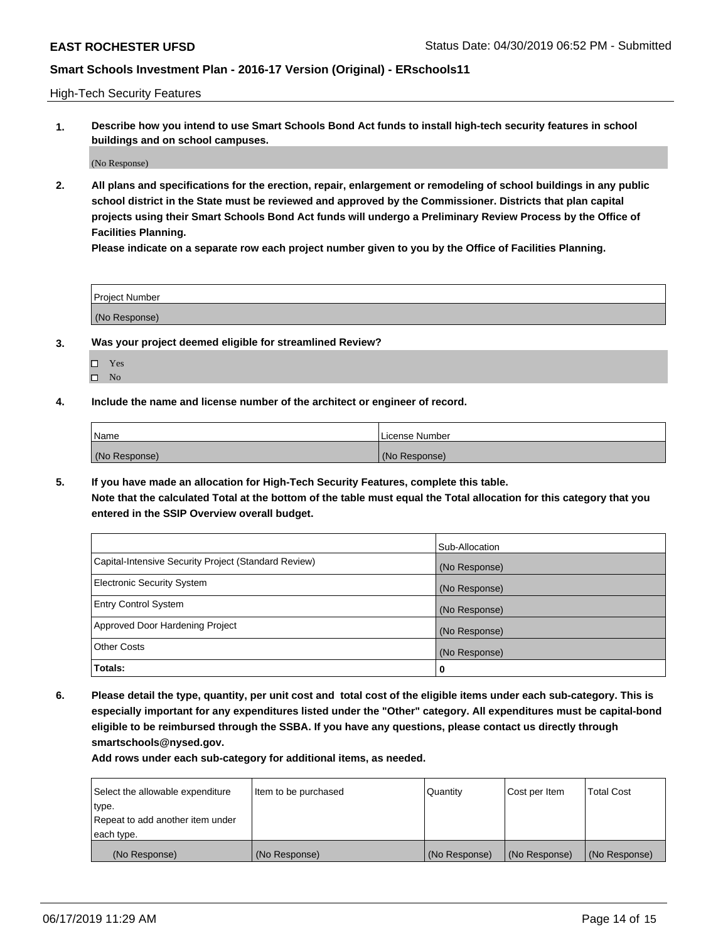High-Tech Security Features

**1. Describe how you intend to use Smart Schools Bond Act funds to install high-tech security features in school buildings and on school campuses.**

(No Response)

**2. All plans and specifications for the erection, repair, enlargement or remodeling of school buildings in any public school district in the State must be reviewed and approved by the Commissioner. Districts that plan capital projects using their Smart Schools Bond Act funds will undergo a Preliminary Review Process by the Office of Facilities Planning.** 

**Please indicate on a separate row each project number given to you by the Office of Facilities Planning.**

| <b>Project Number</b> |  |
|-----------------------|--|
| (No Response)         |  |

- **3. Was your project deemed eligible for streamlined Review?**
	- Yes
	- $\square$  No
- **4. Include the name and license number of the architect or engineer of record.**

| <b>Name</b>   | License Number |
|---------------|----------------|
| (No Response) | (No Response)  |

**5. If you have made an allocation for High-Tech Security Features, complete this table.**

**Note that the calculated Total at the bottom of the table must equal the Total allocation for this category that you entered in the SSIP Overview overall budget.**

|                                                      | Sub-Allocation |
|------------------------------------------------------|----------------|
| Capital-Intensive Security Project (Standard Review) | (No Response)  |
| <b>Electronic Security System</b>                    | (No Response)  |
| <b>Entry Control System</b>                          | (No Response)  |
| Approved Door Hardening Project                      | (No Response)  |
| <b>Other Costs</b>                                   | (No Response)  |
| Totals:                                              | 0              |

**6. Please detail the type, quantity, per unit cost and total cost of the eligible items under each sub-category. This is especially important for any expenditures listed under the "Other" category. All expenditures must be capital-bond eligible to be reimbursed through the SSBA. If you have any questions, please contact us directly through smartschools@nysed.gov.**

| Select the allowable expenditure | Item to be purchased | l Quantitv    | Cost per Item | <b>Total Cost</b> |
|----------------------------------|----------------------|---------------|---------------|-------------------|
| type.                            |                      |               |               |                   |
| Repeat to add another item under |                      |               |               |                   |
| each type.                       |                      |               |               |                   |
| (No Response)                    | (No Response)        | (No Response) | (No Response) | (No Response)     |